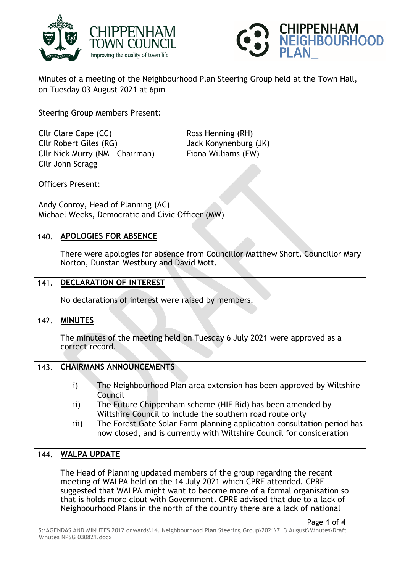



Minutes of a meeting of the Neighbourhood Plan Steering Group held at the Town Hall, on Tuesday 03 August 2021 at 6pm

Steering Group Members Present:

Cllr Clare Cape (CC) Ross Henning (RH) Cllr Robert Giles (RG) Jack Konynenburg (JK) Cllr Nick Murry (NM – Chairman) Fiona Williams (FW) Cllr John Scragg

Officers Present:

Andy Conroy, Head of Planning (AC) Michael Weeks, Democratic and Civic Officer (MW)

| 140. | <b>APOLOGIES FOR ABSENCE</b>                                                                                                                                                                                                                                                                                                                                                                |
|------|---------------------------------------------------------------------------------------------------------------------------------------------------------------------------------------------------------------------------------------------------------------------------------------------------------------------------------------------------------------------------------------------|
|      | There were apologies for absence from Councillor Matthew Short, Councillor Mary<br>Norton, Dunstan Westbury and David Mott.                                                                                                                                                                                                                                                                 |
| 141. | DECLARATION OF INTEREST                                                                                                                                                                                                                                                                                                                                                                     |
|      | No declarations of interest were raised by members.                                                                                                                                                                                                                                                                                                                                         |
| 142. | <b>MINUTES</b>                                                                                                                                                                                                                                                                                                                                                                              |
|      | The minutes of the meeting held on Tuesday 6 July 2021 were approved as a                                                                                                                                                                                                                                                                                                                   |
|      | correct record.                                                                                                                                                                                                                                                                                                                                                                             |
| 143. | <b>CHAIRMANS ANNOUNCEMENTS</b>                                                                                                                                                                                                                                                                                                                                                              |
|      |                                                                                                                                                                                                                                                                                                                                                                                             |
|      | The Neighbourhood Plan area extension has been approved by Wiltshire<br>$\mathbf{i}$<br>Council                                                                                                                                                                                                                                                                                             |
|      | The Future Chippenham scheme (HIF Bid) has been amended by<br>$\mathbf{ii}$                                                                                                                                                                                                                                                                                                                 |
|      | Wiltshire Council to include the southern road route only                                                                                                                                                                                                                                                                                                                                   |
|      | The Forest Gate Solar Farm planning application consultation period has<br>iii)<br>now closed, and is currently with Wiltshire Council for consideration                                                                                                                                                                                                                                    |
| 144. | <b>WALPA UPDATE</b>                                                                                                                                                                                                                                                                                                                                                                         |
|      | The Head of Planning updated members of the group regarding the recent<br>meeting of WALPA held on the 14 July 2021 which CPRE attended. CPRE<br>suggested that WALPA might want to become more of a formal organisation so<br>that is holds more clout with Government. CPRE advised that due to a lack of<br>Neighbourhood Plans in the north of the country there are a lack of national |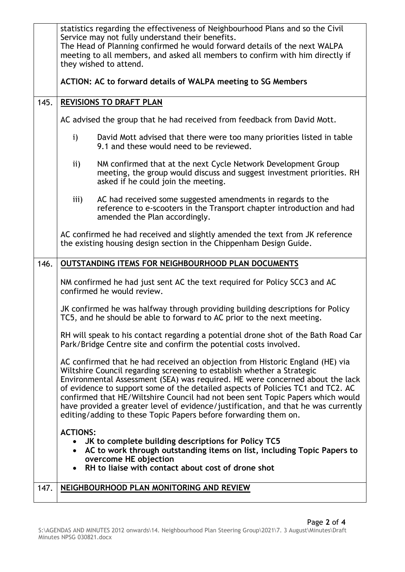|      | statistics regarding the effectiveness of Neighbourhood Plans and so the Civil<br>Service may not fully understand their benefits.<br>The Head of Planning confirmed he would forward details of the next WALPA<br>meeting to all members, and asked all members to confirm with him directly if<br>they wished to attend.                                                                                                                                                                                                                                             |
|------|------------------------------------------------------------------------------------------------------------------------------------------------------------------------------------------------------------------------------------------------------------------------------------------------------------------------------------------------------------------------------------------------------------------------------------------------------------------------------------------------------------------------------------------------------------------------|
|      | ACTION: AC to forward details of WALPA meeting to SG Members                                                                                                                                                                                                                                                                                                                                                                                                                                                                                                           |
| 145. | <b>REVISIONS TO DRAFT PLAN</b>                                                                                                                                                                                                                                                                                                                                                                                                                                                                                                                                         |
|      | AC advised the group that he had received from feedback from David Mott.                                                                                                                                                                                                                                                                                                                                                                                                                                                                                               |
|      | $\mathbf{i}$<br>David Mott advised that there were too many priorities listed in table<br>9.1 and these would need to be reviewed.                                                                                                                                                                                                                                                                                                                                                                                                                                     |
|      | $\mathbf{ii}$<br>NM confirmed that at the next Cycle Network Development Group<br>meeting, the group would discuss and suggest investment priorities. RH<br>asked if he could join the meeting.                                                                                                                                                                                                                                                                                                                                                                        |
|      | iii)<br>AC had received some suggested amendments in regards to the<br>reference to e-scooters in the Transport chapter introduction and had<br>amended the Plan accordingly.                                                                                                                                                                                                                                                                                                                                                                                          |
|      | AC confirmed he had received and slightly amended the text from JK reference<br>the existing housing design section in the Chippenham Design Guide.                                                                                                                                                                                                                                                                                                                                                                                                                    |
| 146. | OUTSTANDING ITEMS FOR NEIGHBOURHOOD PLAN DOCUMENTS                                                                                                                                                                                                                                                                                                                                                                                                                                                                                                                     |
|      | NM confirmed he had just sent AC the text required for Policy SCC3 and AC<br>confirmed he would review.                                                                                                                                                                                                                                                                                                                                                                                                                                                                |
|      | JK confirmed he was halfway through providing building descriptions for Policy<br>TC5, and he should be able to forward to AC prior to the next meeting.                                                                                                                                                                                                                                                                                                                                                                                                               |
|      | RH will speak to his contact regarding a potential drone shot of the Bath Road Car<br>Park/Bridge Centre site and confirm the potential costs involved.                                                                                                                                                                                                                                                                                                                                                                                                                |
|      | AC confirmed that he had received an objection from Historic England (HE) via<br>Wiltshire Council regarding screening to establish whether a Strategic<br>Environmental Assessment (SEA) was required. HE were concerned about the lack<br>of evidence to support some of the detailed aspects of Policies TC1 and TC2. AC<br>confirmed that HE/Wiltshire Council had not been sent Topic Papers which would<br>have provided a greater level of evidence/justification, and that he was currently<br>editing/adding to these Topic Papers before forwarding them on. |
|      | <b>ACTIONS:</b><br>• JK to complete building descriptions for Policy TC5<br>• AC to work through outstanding items on list, including Topic Papers to<br>overcome HE objection<br>RH to liaise with contact about cost of drone shot<br>$\bullet$                                                                                                                                                                                                                                                                                                                      |
| 147. | NEIGHBOURHOOD PLAN MONITORING AND REVIEW                                                                                                                                                                                                                                                                                                                                                                                                                                                                                                                               |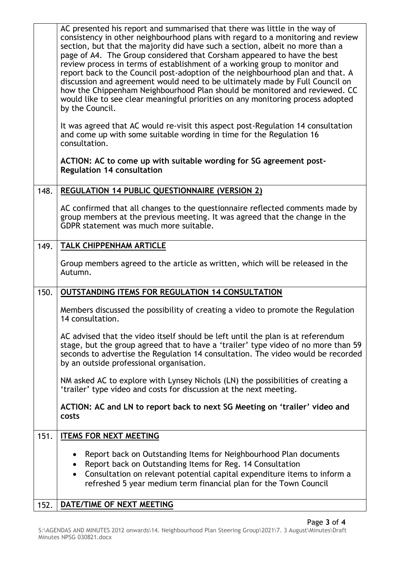|      | AC presented his report and summarised that there was little in the way of<br>consistency in other neighbourhood plans with regard to a monitoring and review<br>section, but that the majority did have such a section, albeit no more than a<br>page of A4. The Group considered that Corsham appeared to have the best<br>review process in terms of establishment of a working group to monitor and<br>report back to the Council post-adoption of the neighbourhood plan and that. A<br>discussion and agreement would need to be ultimately made by Full Council on<br>how the Chippenham Neighbourhood Plan should be monitored and reviewed. CC<br>would like to see clear meaningful priorities on any monitoring process adopted<br>by the Council. |
|------|---------------------------------------------------------------------------------------------------------------------------------------------------------------------------------------------------------------------------------------------------------------------------------------------------------------------------------------------------------------------------------------------------------------------------------------------------------------------------------------------------------------------------------------------------------------------------------------------------------------------------------------------------------------------------------------------------------------------------------------------------------------|
|      | It was agreed that AC would re-visit this aspect post-Regulation 14 consultation<br>and come up with some suitable wording in time for the Regulation 16<br>consultation.                                                                                                                                                                                                                                                                                                                                                                                                                                                                                                                                                                                     |
|      | ACTION: AC to come up with suitable wording for SG agreement post-<br><b>Regulation 14 consultation</b>                                                                                                                                                                                                                                                                                                                                                                                                                                                                                                                                                                                                                                                       |
| 148. | <b>REGULATION 14 PUBLIC QUESTIONNAIRE (VERSION 2)</b>                                                                                                                                                                                                                                                                                                                                                                                                                                                                                                                                                                                                                                                                                                         |
|      | AC confirmed that all changes to the questionnaire reflected comments made by<br>group members at the previous meeting. It was agreed that the change in the<br>GDPR statement was much more suitable.                                                                                                                                                                                                                                                                                                                                                                                                                                                                                                                                                        |
| 149. | <b>TALK CHIPPENHAM ARTICLE</b>                                                                                                                                                                                                                                                                                                                                                                                                                                                                                                                                                                                                                                                                                                                                |
|      | Group members agreed to the article as written, which will be released in the<br>Autumn.                                                                                                                                                                                                                                                                                                                                                                                                                                                                                                                                                                                                                                                                      |
| 150. | <b>OUTSTANDING ITEMS FOR REGULATION 14 CONSULTATION</b>                                                                                                                                                                                                                                                                                                                                                                                                                                                                                                                                                                                                                                                                                                       |
|      | Members discussed the possibility of creating a video to promote the Regulation<br>14 consultation.                                                                                                                                                                                                                                                                                                                                                                                                                                                                                                                                                                                                                                                           |
|      | AC advised that the video itself should be left until the plan is at referendum<br>stage, but the group agreed that to have a 'trailer' type video of no more than 59<br>seconds to advertise the Regulation 14 consultation. The video would be recorded<br>by an outside professional organisation.                                                                                                                                                                                                                                                                                                                                                                                                                                                         |
|      | NM asked AC to explore with Lynsey Nichols (LN) the possibilities of creating a<br>'trailer' type video and costs for discussion at the next meeting.                                                                                                                                                                                                                                                                                                                                                                                                                                                                                                                                                                                                         |
|      | ACTION: AC and LN to report back to next SG Meeting on 'trailer' video and<br>costs                                                                                                                                                                                                                                                                                                                                                                                                                                                                                                                                                                                                                                                                           |
| 151. | <b>ITEMS FOR NEXT MEETING</b>                                                                                                                                                                                                                                                                                                                                                                                                                                                                                                                                                                                                                                                                                                                                 |
|      | Report back on Outstanding Items for Neighbourhood Plan documents<br>Report back on Outstanding Items for Reg. 14 Consultation<br>٠<br>Consultation on relevant potential capital expenditure items to inform a<br>$\bullet$<br>refreshed 5 year medium term financial plan for the Town Council                                                                                                                                                                                                                                                                                                                                                                                                                                                              |
|      |                                                                                                                                                                                                                                                                                                                                                                                                                                                                                                                                                                                                                                                                                                                                                               |
| 152. | DATE/TIME OF NEXT MEETING                                                                                                                                                                                                                                                                                                                                                                                                                                                                                                                                                                                                                                                                                                                                     |